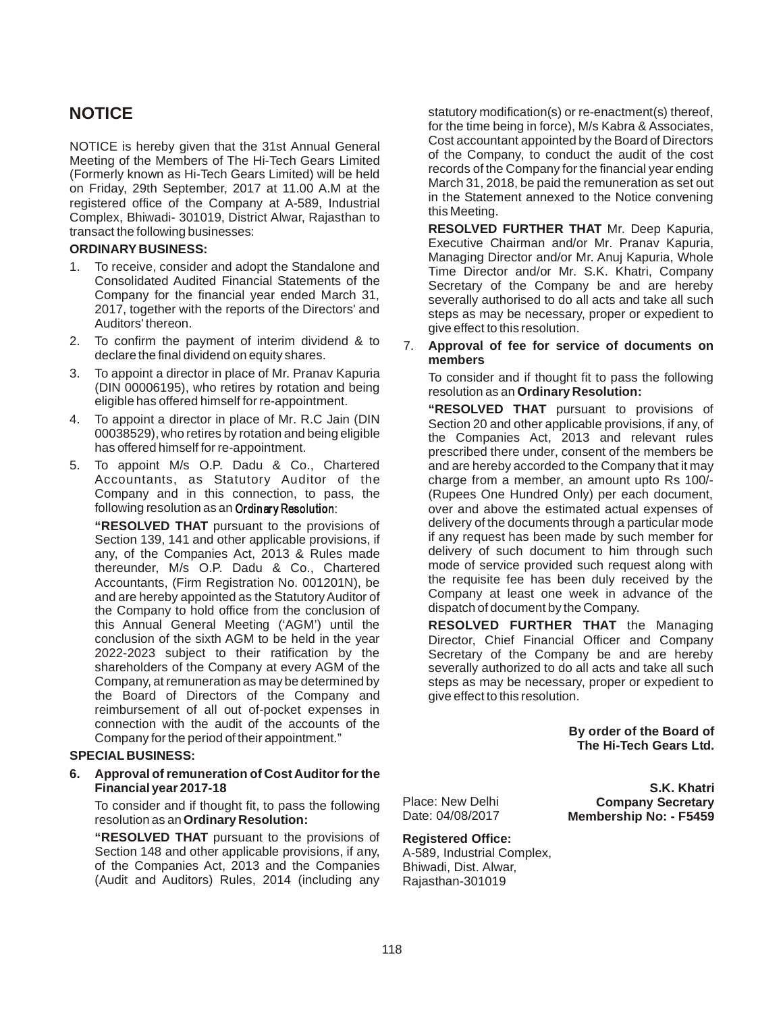NOTICE is hereby given that the 31st Annual General Meeting of the Members of The Hi-Tech Gears Limited (Formerly known as Hi-Tech Gears Limited) will be held on Friday, 29th September, 2017 at 11.00 A.M at the registered office of the Company at A-589, Industrial Complex, Bhiwadi- 301019, District Alwar, Rajasthan to transact the following businesses:

#### **ORDINARY BUSINESS:**

- 1. To receive, consider and adopt the Standalone and Consolidated Audited Financial Statements of the Company for the financial year ended March 31, 2017, together with the reports of the Directors' and Auditors' thereon.
- 2. To confirm the payment of interim dividend & to declare the final dividend on equity shares.
- 3. To appoint a director in place of Mr. Pranav Kapuria (DIN 00006195), who retires by rotation and being eligible has offered himself for re-appointment.
- 4. To appoint a director in place of Mr. R.C Jain (DIN 00038529), who retires by rotation and being eligible has offered himself for re-appointment.
- 5. To appoint M/s O.P. Dadu & Co., Chartered Accountants, as Statutory Auditor of the Company and in this connection, to pass, the following resolution as an Ordinary Resolution:

**"RESOLVED THAT** pursuant to the provisions of Section 139, 141 and other applicable provisions, if any, of the Companies Act, 2013 & Rules made thereunder, M/s O.P. Dadu & Co., Chartered Accountants, (Firm Registration No. 001201N), be and are hereby appointed as the Statutory Auditor of the Company to hold office from the conclusion of this Annual General Meeting ('AGM') until the conclusion of the sixth AGM to be held in the year 2022-2023 subject to their ratification by the shareholders of the Company at every AGM of the Company, at remuneration as may be determined by the Board of Directors of the Company and reimbursement of all out of-pocket expenses in connection with the audit of the accounts of the Company for the period of their appointment."

#### **SPECIAL BUSINESS:**

**6. Approval of remuneration of Cost Auditor for the Financial year 2017-18**

To consider and if thought fit, to pass the following resolution as an **Ordinary Resolution:**

**"RESOLVED THAT** pursuant to the provisions of Section 148 and other applicable provisions, if any, of the Companies Act, 2013 and the Companies (Audit and Auditors) Rules, 2014 (including any

**NOTICE** statutory modification(s) or re-enactment(s) thereof, for the time being in force), M/s Kabra & Associates, Cost accountant appointed by the Board of Directors of the Company, to conduct the audit of the cost records of the Company for the financial year ending March 31, 2018, be paid the remuneration as set out in the Statement annexed to the Notice convening this Meeting.

> **RESOLVED FURTHER THAT** Mr. Deep Kapuria, Executive Chairman and/or Mr. Pranav Kapuria, Managing Director and/or Mr. Anuj Kapuria, Whole Time Director and/or Mr. S.K. Khatri, Company Secretary of the Company be and are hereby severally authorised to do all acts and take all such steps as may be necessary, proper or expedient to give effect to this resolution.

#### 7. **Approval of fee for service of documents on members**

To consider and if thought fit to pass the following resolution as an **Ordinary Resolution:**

**"RESOLVED THAT** pursuant to provisions of Section 20 and other applicable provisions, if any, of the Companies Act, 2013 and relevant rules prescribed there under, consent of the members be and are hereby accorded to the Company that it may charge from a member, an amount upto Rs 100/- (Rupees One Hundred Only) per each document, over and above the estimated actual expenses of delivery of the documents through a particular mode if any request has been made by such member for delivery of such document to him through such mode of service provided such request along with the requisite fee has been duly received by the Company at least one week in advance of the dispatch of document by the Company.

**RESOLVED FURTHER THAT** the Managing Director, Chief Financial Officer and Company Secretary of the Company be and are hereby severally authorized to do all acts and take all such steps as may be necessary, proper or expedient to give effect to this resolution.

> **By order of the Board of The Hi-Tech Gears Ltd.**

> **Company Secretary Membership No: - F5459**

**S.K. Khatri**

Place: New Delhi Date: 04/08/2017

#### **Registered Office:**

A-589, Industrial Complex, Bhiwadi, Dist. Alwar, Rajasthan-301019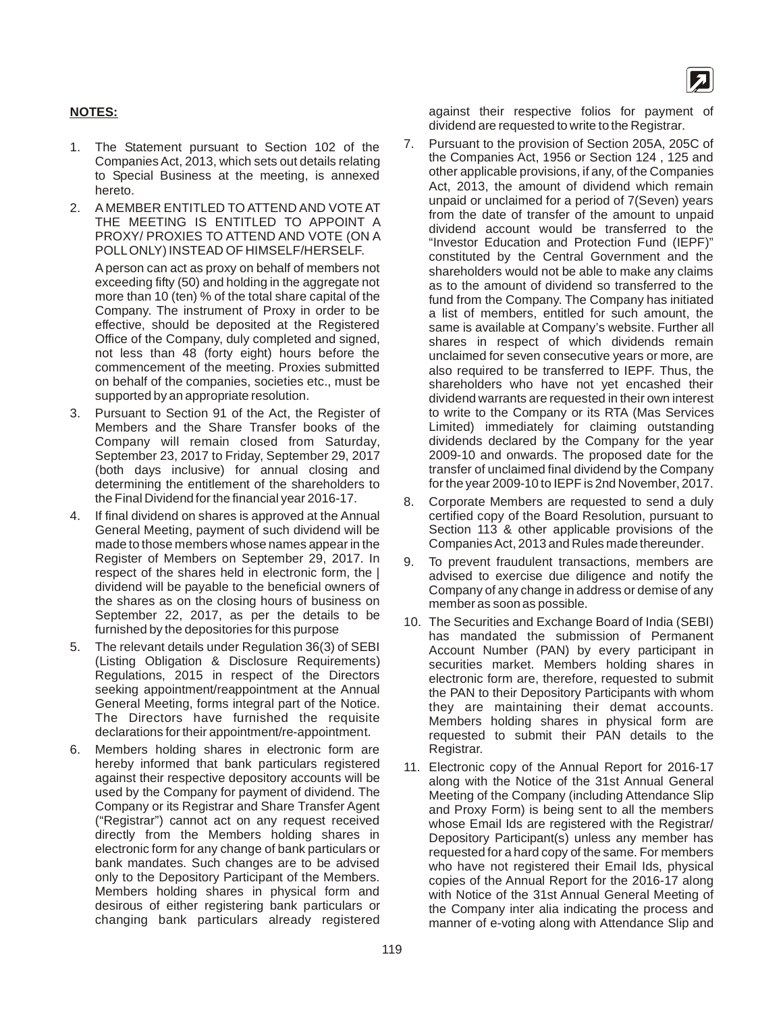

#### **NOTES:**

- 1. The Statement pursuant to Section 102 of the Companies Act, 2013, which sets out details relating to Special Business at the meeting, is annexed hereto.
- 2. A MEMBER ENTITLED TO ATTEND AND VOTE AT THE MEETING IS ENTITLED TO APPOINT A PROXY/ PROXIES TO ATTEND AND VOTE (ON A POLL ONLY) INSTEAD OF HIMSELF/HERSELF.

A person can act as proxy on behalf of members not exceeding fifty (50) and holding in the aggregate not more than 10 (ten) % of the total share capital of the Company. The instrument of Proxy in order to be effective, should be deposited at the Registered Office of the Company, duly completed and signed, not less than 48 (forty eight) hours before the commencement of the meeting. Proxies submitted on behalf of the companies, societies etc., must be supported by an appropriate resolution.

- 3. Pursuant to Section 91 of the Act, the Register of Members and the Share Transfer books of the Company will remain closed from Saturday, September 23, 2017 to Friday, September 29, 2017 (both days inclusive) for annual closing and determining the entitlement of the shareholders to the Final Dividend for the financial year 2016-17.
- 4. If final dividend on shares is approved at the Annual General Meeting, payment of such dividend will be made to those members whose names appear in the Register of Members on September 29, 2017. In respect of the shares held in electronic form, the | dividend will be payable to the beneficial owners of the shares as on the closing hours of business on September 22, 2017, as per the details to be furnished by the depositories for this purpose
- 5. The relevant details under Regulation 36(3) of SEBI (Listing Obligation & Disclosure Requirements) Regulations, 2015 in respect of the Directors seeking appointment/reappointment at the Annual General Meeting, forms integral part of the Notice. The Directors have furnished the requisite declarations for their appointment/re-appointment.
- 6. Members holding shares in electronic form are hereby informed that bank particulars registered against their respective depository accounts will be used by the Company for payment of dividend. The Company or its Registrar and Share Transfer Agent ("Registrar") cannot act on any request received directly from the Members holding shares in electronic form for any change of bank particulars or bank mandates. Such changes are to be advised only to the Depository Participant of the Members. Members holding shares in physical form and desirous of either registering bank particulars or changing bank particulars already registered

against their respective folios for payment of dividend are requested to write to the Registrar.

- 7. Pursuant to the provision of Section 205A, 205C of the Companies Act, 1956 or Section 124 , 125 and other applicable provisions, if any, of the Companies Act, 2013, the amount of dividend which remain unpaid or unclaimed for a period of 7(Seven) years from the date of transfer of the amount to unpaid dividend account would be transferred to the "Investor Education and Protection Fund (IEPF)" constituted by the Central Government and the shareholders would not be able to make any claims as to the amount of dividend so transferred to the fund from the Company. The Company has initiated a list of members, entitled for such amount, the same is available at Company's website. Further all shares in respect of which dividends remain unclaimed for seven consecutive years or more, are also required to be transferred to IEPF. Thus, the shareholders who have not yet encashed their dividend warrants are requested in their own interest to write to the Company or its RTA (Mas Services Limited) immediately for claiming outstanding dividends declared by the Company for the year 2009-10 and onwards. The proposed date for the transfer of unclaimed final dividend by the Company for the year 2009-10 to IEPF is 2nd November, 2017.
- 8. Corporate Members are requested to send a duly certified copy of the Board Resolution, pursuant to Section 113 & other applicable provisions of the CompaniesAct, 2013 and Rules made thereunder.
- 9. To prevent fraudulent transactions, members are advised to exercise due diligence and notify the Company of any change in address or demise of any member as soon as possible.
- 10. The Securities and Exchange Board of India (SEBI) has mandated the submission of Permanent Account Number (PAN) by every participant in securities market. Members holding shares in electronic form are, therefore, requested to submit the PAN to their Depository Participants with whom they are maintaining their demat accounts. Members holding shares in physical form are requested to submit their PAN details to the Registrar.
- 11. Electronic copy of the Annual Report for 2016-17 along with the Notice of the 31st Annual General Meeting of the Company (including Attendance Slip and Proxy Form) is being sent to all the members whose Email Ids are registered with the Registrar/ Depository Participant(s) unless any member has requested for a hard copy of the same. For members who have not registered their Email Ids, physical copies of the Annual Report for the 2016-17 along with Notice of the 31st Annual General Meeting of the Company inter alia indicating the process and manner of e-voting along with Attendance Slip and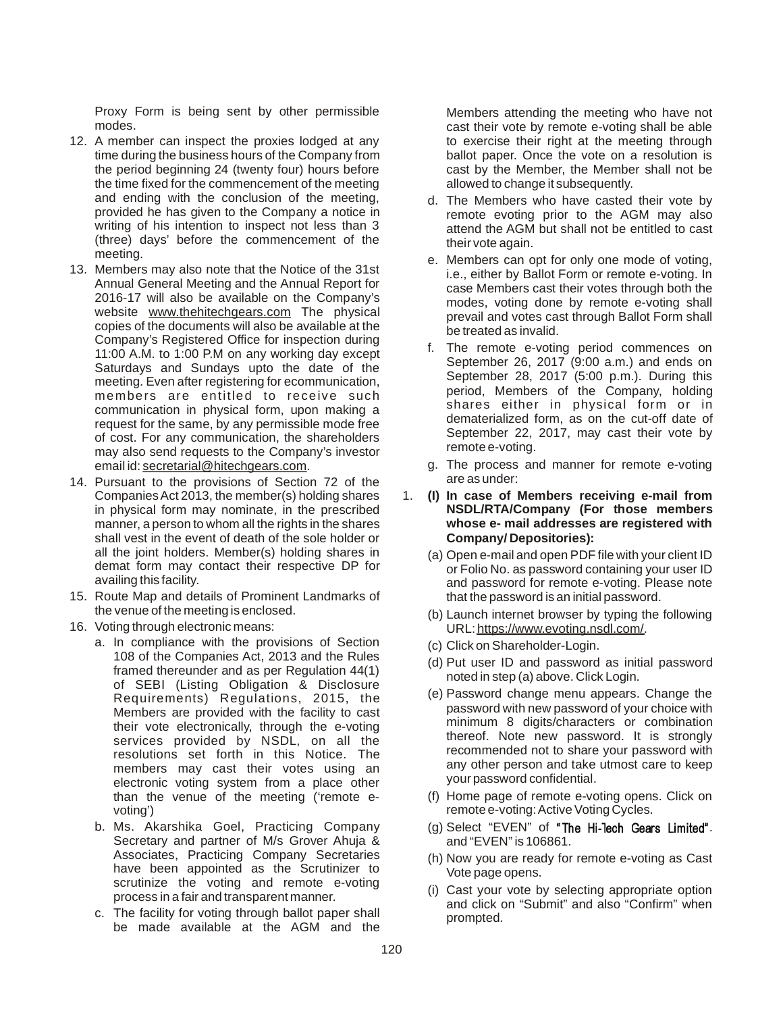Proxy Form is being sent by other permissible modes.

- 12. A member can inspect the proxies lodged at any time during the business hours of the Company from the period beginning 24 (twenty four) hours before the time fixed for the commencement of the meeting and ending with the conclusion of the meeting, provided he has given to the Company a notice in writing of his intention to inspect not less than 3 (three) days' before the commencement of the meeting.
- 13. Members may also note that the Notice of the 31st Annual General Meeting and the Annual Report for 2016-17 will also be available on the Company's website www.thehitechgears.com The physical copies of the documents will also be available at the Company's Registered Office for inspection during 11:00 A.M. to 1:00 P.M on any working day except Saturdays and Sundays upto the date of the meeting. Even after registering for ecommunication, members are entitled to receive such communication in physical form, upon making a request for the same, by any permissible mode free of cost. For any communication, the shareholders may also send requests to the Company's investor email id: secretarial@hitechgears.com.
- 14. Pursuant to the provisions of Section 72 of the CompaniesAct 2013, the member(s) holding shares in physical form may nominate, in the prescribed manner, a person to whom all the rights in the shares shall vest in the event of death of the sole holder or all the joint holders. Member(s) holding shares in demat form may contact their respective DP for availing this facility.
- 15. Route Map and details of Prominent Landmarks of the venue of the meeting is enclosed.
- 16. Voting through electronic means:
	- a. In compliance with the provisions of Section 108 of the Companies Act, 2013 and the Rules framed thereunder and as per Regulation 44(1) of SEBI (Listing Obligation & Disclosure Requirements) Regulations, 2015, the Members are provided with the facility to cast their vote electronically, through the e-voting services provided by NSDL, on all the resolutions set forth in this Notice. The members may cast their votes using an electronic voting system from a place other than the venue of the meeting ('remote evoting')
	- b. Ms. Akarshika Goel, Practicing Company Secretary and partner of M/s Grover Ahuja & Associates, Practicing Company Secretaries have been appointed as the Scrutinizer to scrutinize the voting and remote e-voting process in a fair and transparent manner.
	- c. The facility for voting through ballot paper shall be made available at the AGM and the

Members attending the meeting who have not cast their vote by remote e-voting shall be able to exercise their right at the meeting through ballot paper. Once the vote on a resolution is cast by the Member, the Member shall not be allowed to change it subsequently.

- d. The Members who have casted their vote by remote evoting prior to the AGM may also attend the AGM but shall not be entitled to cast their vote again.
- e. Members can opt for only one mode of voting, i.e., either by Ballot Form or remote e-voting. In case Members cast their votes through both the modes, voting done by remote e-voting shall prevail and votes cast through Ballot Form shall be treated as invalid.
- f. The remote e-voting period commences on September 26, 2017 (9:00 a.m.) and ends on September 28, 2017 (5:00 p.m.). During this period, Members of the Company, holding shares either in physical form or in dematerialized form, as on the cut-off date of September 22, 2017, may cast their vote by remote e-voting.
- g. The process and manner for remote e-voting are as under:
- 1. **(I) In case of Members receiving e-mail from NSDL/RTA/Company (For those members whose e- mail addresses are registered with Company/ Depositories):**
	- (a) Open e-mail and open PDF file with your client ID or Folio No. as password containing your user ID and password for remote e-voting. Please note that the password is an initial password.
	- (b) Launch internet browser by typing the following URL: https://www.evoting.nsdl.com/.
	- (c) Click on Shareholder-Login.
	- (d) Put user ID and password as initial password noted in step (a) above. Click Login.
	- (e) Password change menu appears. Change the password with new password of your choice with minimum 8 digits/characters or combination thereof. Note new password. It is strongly recommended not to share your password with any other person and take utmost care to keep your password confidential.
	- (f) Home page of remote e-voting opens. Click on remote e-voting: Active Voting Cycles.
	- $(q)$  Select "EVEN" of "The Hi-Tech Gears Limited". and "EVEN" is 106861.
	- (h) Now you are ready for remote e-voting as Cast Vote page opens.
	- (i) Cast your vote by selecting appropriate option and click on "Submit" and also "Confirm" when prompted.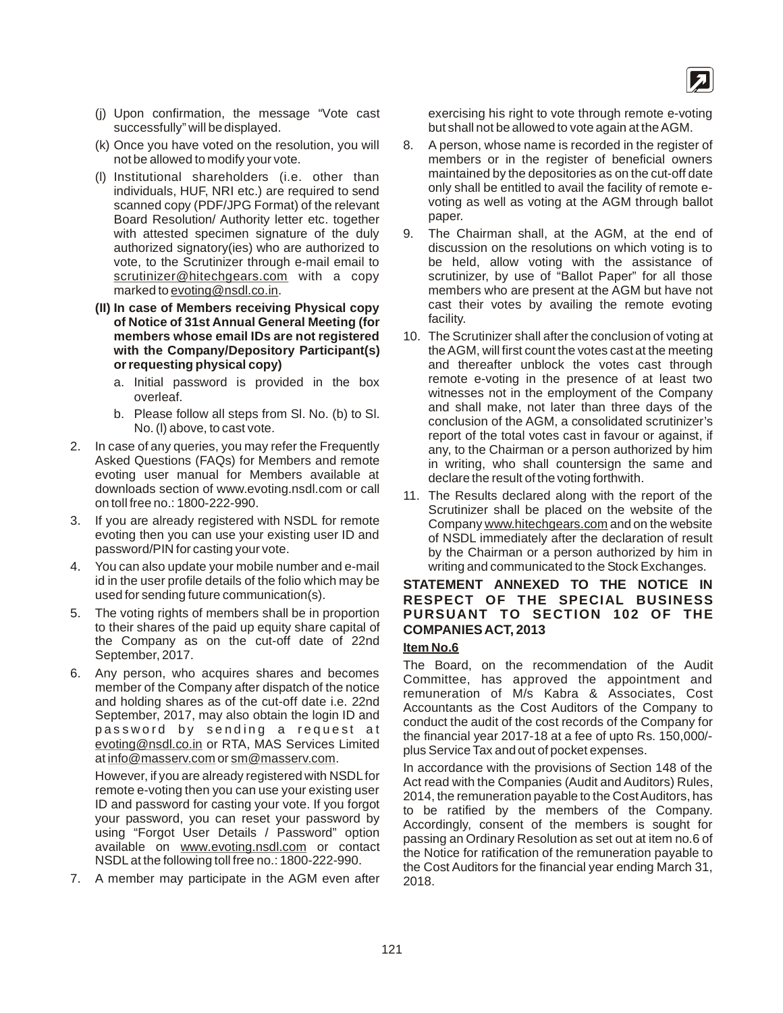- (j) Upon confirmation, the message "Vote cast successfully" will be displayed.
- (k) Once you have voted on the resolution, you will not be allowed to modify your vote.
- (l) Institutional shareholders (i.e. other than individuals, HUF, NRI etc.) are required to send scanned copy (PDF/JPG Format) of the relevant Board Resolution/ Authority letter etc. together with attested specimen signature of the duly authorized signatory(ies) who are authorized to vote, to the Scrutinizer through e-mail email to scrutinizer@hitechgears.com with a copy marked to evoting@nsdl.co.in.
- **(II) In case of Members receiving Physical copy of Notice of 31st Annual General Meeting (for members whose email IDs are not registered with the Company/Depository Participant(s) or requesting physical copy)**
	- a. Initial password is provided in the box overleaf.
	- b. Please follow all steps from Sl. No. (b) to Sl. No. (l) above, to cast vote.
- 2. In case of any queries, you may refer the Frequently Asked Questions (FAQs) for Members and remote evoting user manual for Members available at downloads section of www.evoting.nsdl.com or call on toll free no.: 1800-222-990.
- 3. If you are already registered with NSDL for remote evoting then you can use your existing user ID and password/PIN for casting your vote.
- 4. You can also update your mobile number and e-mail id in the user profile details of the folio which may be used for sending future communication(s).
- 5. The voting rights of members shall be in proportion to their shares of the paid up equity share capital of the Company as on the cut-off date of 22nd September, 2017.
- 6. Any person, who acquires shares and becomes member of the Company after dispatch of the notice and holding shares as of the cut-off date i.e. 22nd September, 2017, may also obtain the login ID and password by sending a request at evoting@nsdl.co.in or RTA, MAS Services Limited at info@masserv.com or sm@masserv.com.

However, if you are already registered with NSDL for remote e-voting then you can use your existing user ID and password for casting your vote. If you forgot your password, you can reset your password by using "Forgot User Details / Password" option available on www.evoting.nsdl.com or contact NSDL at the following toll free no.: 1800-222-990.

7. A member may participate in the AGM even after

exercising his right to vote through remote e-voting but shall not be allowed to vote again at the AGM.

- 8. A person, whose name is recorded in the register of members or in the register of beneficial owners maintained by the depositories as on the cut-off date only shall be entitled to avail the facility of remote evoting as well as voting at the AGM through ballot paper.
- 9. The Chairman shall, at the AGM, at the end of discussion on the resolutions on which voting is to be held, allow voting with the assistance of scrutinizer, by use of "Ballot Paper" for all those members who are present at the AGM but have not cast their votes by availing the remote evoting facility.
- 10. The Scrutinizer shall after the conclusion of voting at the AGM, will first count the votes cast at the meeting and thereafter unblock the votes cast through remote e-voting in the presence of at least two witnesses not in the employment of the Company and shall make, not later than three days of the conclusion of the AGM, a consolidated scrutinizer's report of the total votes cast in favour or against, if any, to the Chairman or a person authorized by him in writing, who shall countersign the same and declare the result of the voting forthwith.
- 11. The Results declared along with the report of the Scrutinizer shall be placed on the website of the Company www.hitechgears.com and on the website of NSDL immediately after the declaration of result by the Chairman or a person authorized by him in writing and communicated to the Stock Exchanges.

#### **STATEMENT ANNEXED TO THE NOTICE IN RESPECT OF THE SPECIAL BUSINESS PURSUANT TO SECTION 102 OF THE COMPANIES ACT, 2013**

#### **Item No.6**

The Board, on the recommendation of the Audit Committee, has approved the appointment and remuneration of M/s Kabra & Associates, Cost Accountants as the Cost Auditors of the Company to conduct the audit of the cost records of the Company for the financial year 2017-18 at a fee of upto Rs. 150,000/ plus Service Tax and out of pocket expenses.

In accordance with the provisions of Section 148 of the Act read with the Companies (Audit and Auditors) Rules, 2014, the remuneration payable to the Cost Auditors, has to be ratified by the members of the Company. Accordingly, consent of the members is sought for passing an Ordinary Resolution as set out at item no.6 of the Notice for ratification of the remuneration payable to the Cost Auditors for the financial year ending March 31, 2018.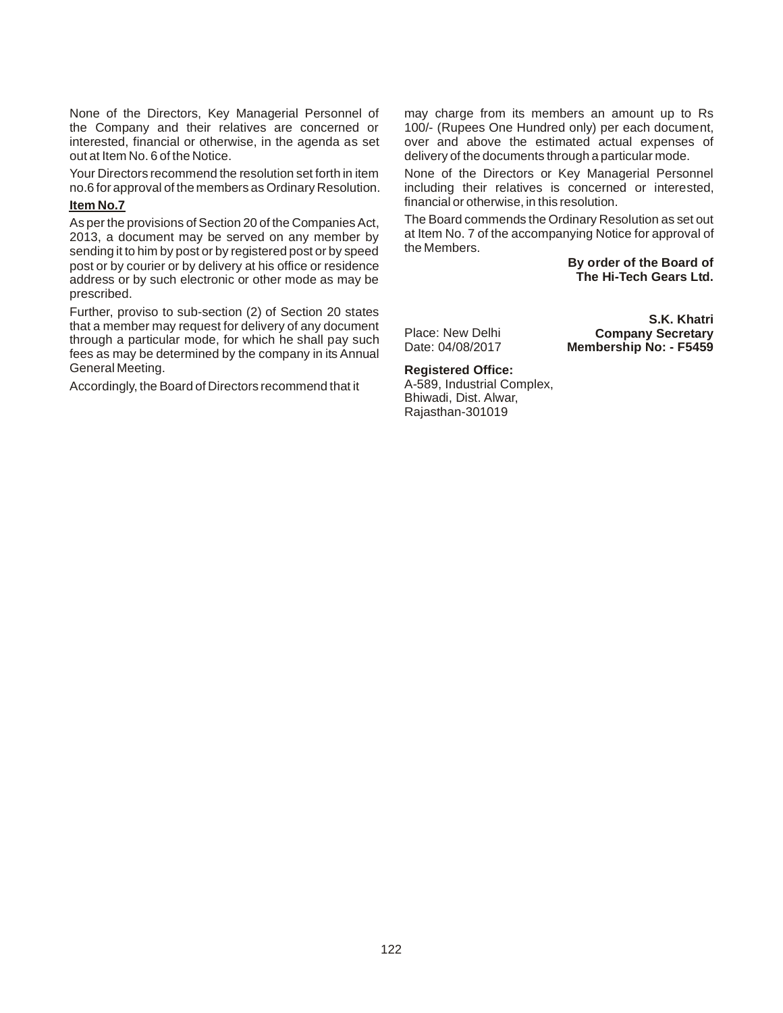None of the Directors, Key Managerial Personnel of the Company and their relatives are concerned or interested, financial or otherwise, in the agenda as set out at Item No. 6 of the Notice.

Your Directors recommend the resolution set forth in item no.6 for approval of the members as Ordinary Resolution.

#### **Item No.7**

As per the provisions of Section 20 of the Companies Act, 2013, a document may be served on any member by sending it to him by post or by registered post or by speed post or by courier or by delivery at his office or residence address or by such electronic or other mode as may be prescribed.

Further, proviso to sub-section (2) of Section 20 states that a member may request for delivery of any document through a particular mode, for which he shall pay such fees as may be determined by the company in its Annual General Meeting.

Accordingly, the Board of Directors recommend that it

may charge from its members an amount up to Rs 100/- (Rupees One Hundred only) per each document, over and above the estimated actual expenses of delivery of the documents through a particular mode.

None of the Directors or Key Managerial Personnel including their relatives is concerned or interested, financial or otherwise, in this resolution.

The Board commends the Ordinary Resolution as set out at Item No. 7 of the accompanying Notice for approval of the Members.

> **By order of the Board of The Hi-Tech Gears Ltd.**

> **Company Secretary Membership No: - F5459**

**S.K. Khatri**

Place: New Delhi Date: 04/08/2017

### **Registered Office:**

A-589, Industrial Complex, Bhiwadi, Dist. Alwar, Rajasthan-301019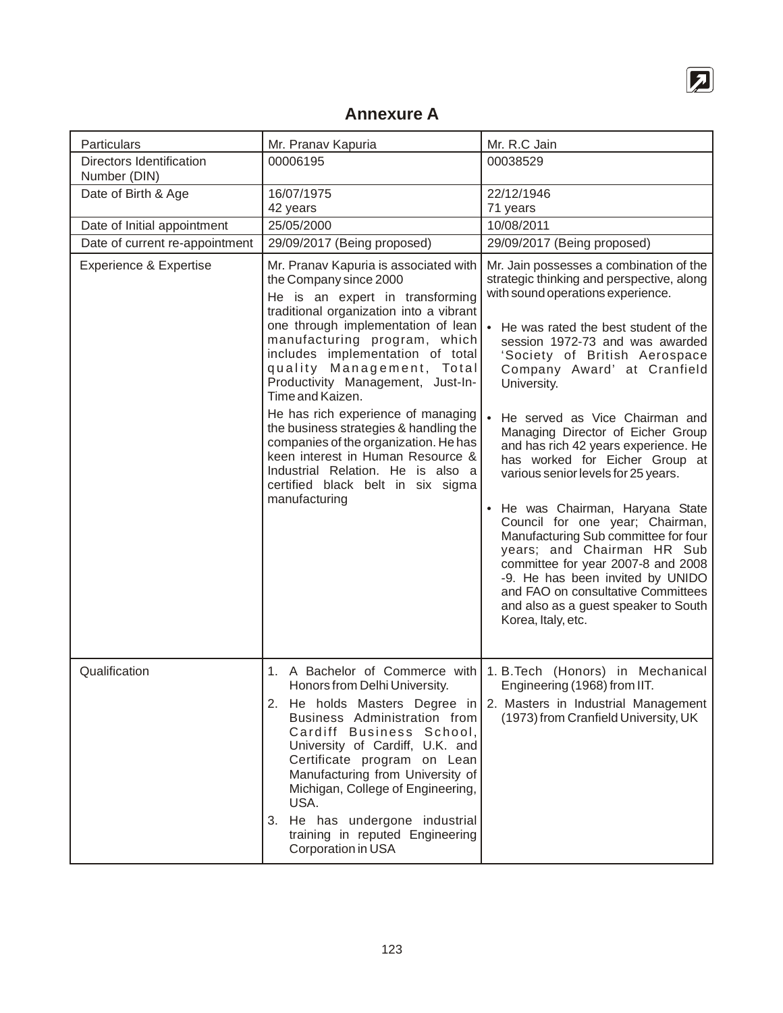

# **Annexure A**

| Particulars                                     | Mr. Pranav Kapuria                                                                                                                                                                                                                                                                                                                                                                                                                                                                                                                                                                                     | Mr. R.C Jain                                                                                                                                                                                                                                                                                                                                                                                                                                                                                                                                                                                                                                                                                                                                                                                         |
|-------------------------------------------------|--------------------------------------------------------------------------------------------------------------------------------------------------------------------------------------------------------------------------------------------------------------------------------------------------------------------------------------------------------------------------------------------------------------------------------------------------------------------------------------------------------------------------------------------------------------------------------------------------------|------------------------------------------------------------------------------------------------------------------------------------------------------------------------------------------------------------------------------------------------------------------------------------------------------------------------------------------------------------------------------------------------------------------------------------------------------------------------------------------------------------------------------------------------------------------------------------------------------------------------------------------------------------------------------------------------------------------------------------------------------------------------------------------------------|
| <b>Directors Identification</b><br>Number (DIN) | 00006195                                                                                                                                                                                                                                                                                                                                                                                                                                                                                                                                                                                               | 00038529                                                                                                                                                                                                                                                                                                                                                                                                                                                                                                                                                                                                                                                                                                                                                                                             |
| Date of Birth & Age                             | 16/07/1975<br>42 years                                                                                                                                                                                                                                                                                                                                                                                                                                                                                                                                                                                 | 22/12/1946<br>71 years                                                                                                                                                                                                                                                                                                                                                                                                                                                                                                                                                                                                                                                                                                                                                                               |
| Date of Initial appointment                     | 25/05/2000                                                                                                                                                                                                                                                                                                                                                                                                                                                                                                                                                                                             | 10/08/2011                                                                                                                                                                                                                                                                                                                                                                                                                                                                                                                                                                                                                                                                                                                                                                                           |
| Date of current re-appointment                  | 29/09/2017 (Being proposed)                                                                                                                                                                                                                                                                                                                                                                                                                                                                                                                                                                            | 29/09/2017 (Being proposed)                                                                                                                                                                                                                                                                                                                                                                                                                                                                                                                                                                                                                                                                                                                                                                          |
| Experience & Expertise                          | Mr. Pranav Kapuria is associated with<br>the Company since 2000<br>He is an expert in transforming<br>traditional organization into a vibrant<br>one through implementation of lean<br>manufacturing program, which<br>includes implementation of total<br>quality Management, Total<br>Productivity Management, Just-In-<br>Time and Kaizen.<br>He has rich experience of managing<br>the business strategies & handling the<br>companies of the organization. He has<br>keen interest in Human Resource &<br>Industrial Relation. He is also a<br>certified black belt in six sigma<br>manufacturing | Mr. Jain possesses a combination of the<br>strategic thinking and perspective, along<br>with sound operations experience.<br>He was rated the best student of the<br>session 1972-73 and was awarded<br>'Society of British Aerospace<br>Company Award' at Cranfield<br>University.<br>He served as Vice Chairman and<br>Managing Director of Eicher Group<br>and has rich 42 years experience. He<br>has worked for Eicher Group at<br>various senior levels for 25 years.<br>He was Chairman, Haryana State<br>Council for one year; Chairman,<br>Manufacturing Sub committee for four<br>years; and Chairman HR Sub<br>committee for year 2007-8 and 2008<br>-9. He has been invited by UNIDO<br>and FAO on consultative Committees<br>and also as a guest speaker to South<br>Korea, Italy, etc. |
|                                                 |                                                                                                                                                                                                                                                                                                                                                                                                                                                                                                                                                                                                        |                                                                                                                                                                                                                                                                                                                                                                                                                                                                                                                                                                                                                                                                                                                                                                                                      |
| Qualification                                   | Honors from Delhi University.<br>Business Administration from<br>Cardiff Business School,<br>University of Cardiff, U.K. and<br>Certificate program on Lean<br>Manufacturing from University of<br>Michigan, College of Engineering,<br>USA.<br>3. He has undergone industrial<br>training in reputed Engineering<br>Corporation in USA                                                                                                                                                                                                                                                                | 1. A Bachelor of Commerce with 1. B. Tech (Honors) in Mechanical<br>Engineering (1968) from IIT.<br>2. He holds Masters Degree in   2. Masters in Industrial Management<br>(1973) from Cranfield University, UK                                                                                                                                                                                                                                                                                                                                                                                                                                                                                                                                                                                      |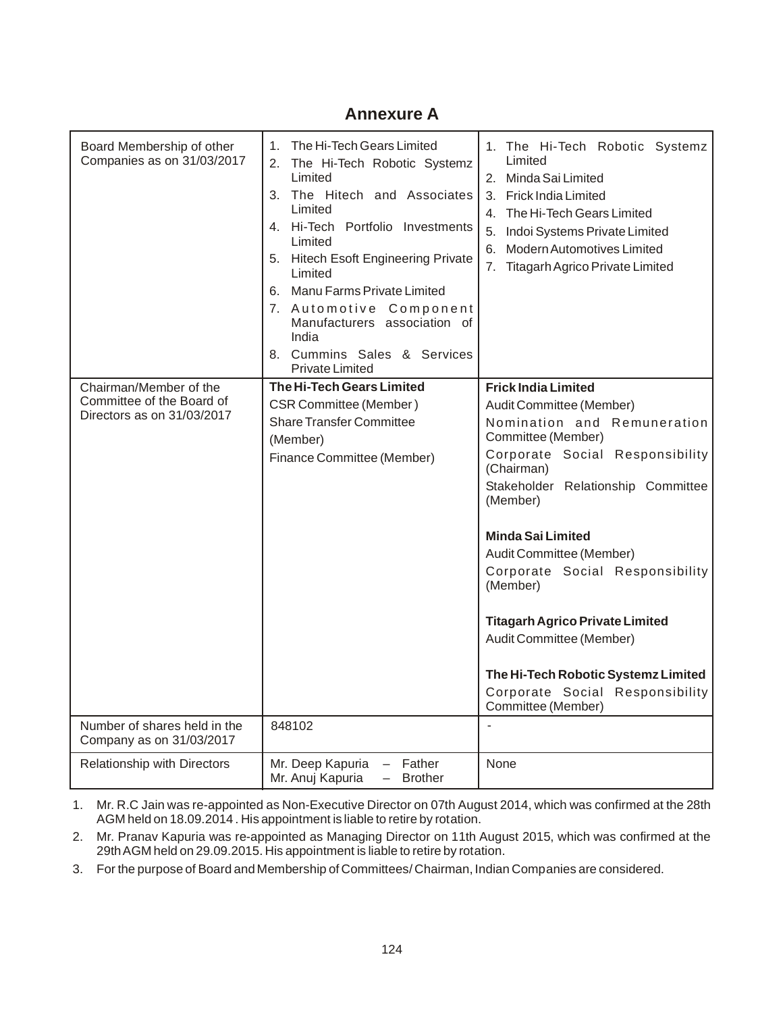## **Annexure A**

| Board Membership of other<br>Companies as on 31/03/2017                           | The Hi-Tech Gears Limited<br>1.<br>The Hi-Tech Robotic Systemz<br>2.<br>Limited<br>3. The Hitech and Associates<br>Limited<br>4. Hi-Tech Portfolio Investments<br>Limited<br>5. Hitech Esoft Engineering Private<br>Limited<br>6. Manu Farms Private Limited<br>7. Automotive Component<br>Manufacturers association of<br>India<br>8. Cummins Sales & Services<br><b>Private Limited</b> | 1. The Hi-Tech Robotic Systemz<br>Limited<br>2. Minda Sai Limited<br>3. Frick India Limited<br>4. The Hi-Tech Gears Limited<br>5. Indoi Systems Private Limited<br>6. Modern Automotives Limited<br>7. Titagarh Agrico Private Limited                                                                                                                                                                                                                                                      |
|-----------------------------------------------------------------------------------|-------------------------------------------------------------------------------------------------------------------------------------------------------------------------------------------------------------------------------------------------------------------------------------------------------------------------------------------------------------------------------------------|---------------------------------------------------------------------------------------------------------------------------------------------------------------------------------------------------------------------------------------------------------------------------------------------------------------------------------------------------------------------------------------------------------------------------------------------------------------------------------------------|
| Chairman/Member of the<br>Committee of the Board of<br>Directors as on 31/03/2017 | <b>The Hi-Tech Gears Limited</b><br><b>CSR Committee (Member)</b><br><b>Share Transfer Committee</b><br>(Member)<br>Finance Committee (Member)                                                                                                                                                                                                                                            | <b>Frick India Limited</b><br>Audit Committee (Member)<br>Nomination and Remuneration<br>Committee (Member)<br>Corporate Social Responsibility<br>(Chairman)<br>Stakeholder Relationship Committee<br>(Member)<br><b>Minda Sai Limited</b><br>Audit Committee (Member)<br>Corporate Social Responsibility<br>(Member)<br><b>Titagarh Agrico Private Limited</b><br>Audit Committee (Member)<br>The Hi-Tech Robotic Systemz Limited<br>Corporate Social Responsibility<br>Committee (Member) |
| Number of shares held in the<br>Company as on 31/03/2017                          | 848102                                                                                                                                                                                                                                                                                                                                                                                    |                                                                                                                                                                                                                                                                                                                                                                                                                                                                                             |
| Relationship with Directors                                                       | Mr. Deep Kapuria<br>Father<br>$-$<br>Mr. Anuj Kapuria<br><b>Brother</b>                                                                                                                                                                                                                                                                                                                   | None                                                                                                                                                                                                                                                                                                                                                                                                                                                                                        |

1. Mr. R.C Jain was re-appointed as Non-Executive Director on 07th August 2014, which was confirmed at the 28th AGM held on 18.09.2014 . His appointment is liable to retire by rotation.

2. Mr. Pranav Kapuria was re-appointed as Managing Director on 11th August 2015, which was confirmed at the 29thAGM held on 29.09.2015. His appointment is liable to retire by rotation.

3. For the purpose of Board and Membership of Committees/ Chairman, Indian Companies are considered.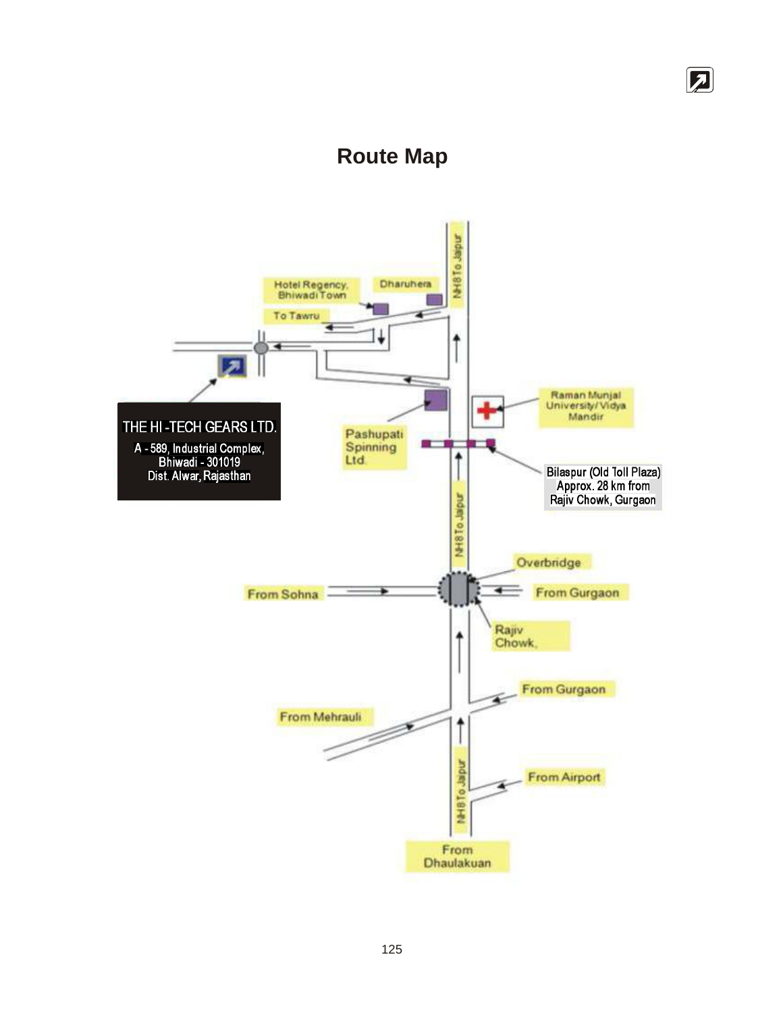# **Route Map**

团